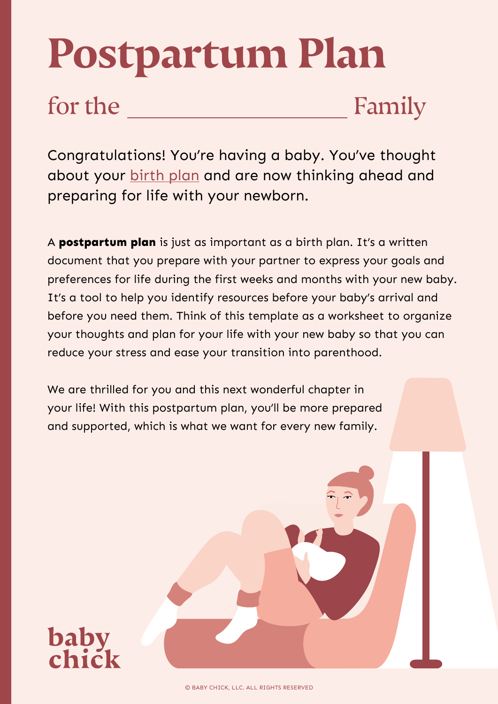# **Postpartum Plan**

**baby** 

for the Family

Congratulations! You're having a baby. You've thought about your [birth plan](https://www.baby-chick.com/creating-your-perfect-birth-plan/) and are now thinking ahead and preparing for life with your newborn.

A **postpartum plan** is just as important as a birth plan. It's a written document that you prepare with your partner to express your goals and preferences for life during the first weeks and months with your new baby. It's a tool to help you identify resources before your baby's arrival and before you need them. Think of this template as a worksheet to organize your thoughts and plan for your life with your new baby so that you can reduce your stress and ease your transition into parenthood.

We are thrilled for you and this next wonderful chapter in your life! With this postpartum plan, you'll be more prepared and supported, which is what we want for every new family.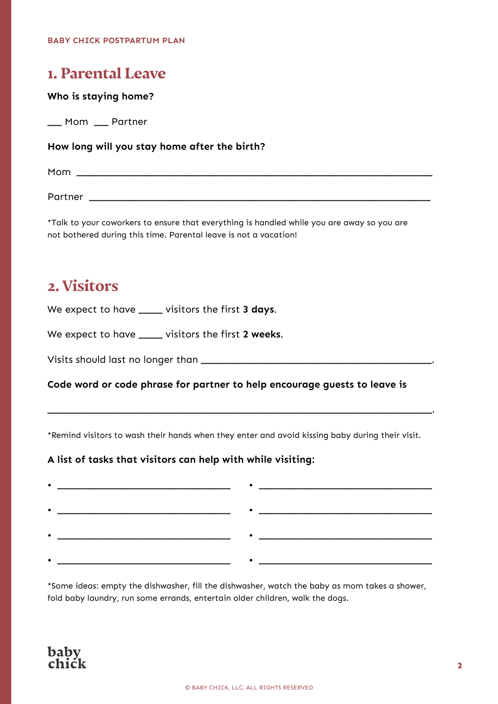## **1. Parental Leave**

### **Who is staying home?**

\_\_\_ Mom \_\_\_ Partner

### **How long will you stay home after the birth?**

Mom and the set of the set of the set of the set of the set of the set of the set of the set of the set of the set of the set of the set of the set of the set of the set of the set of the set of the set of the set of the s

Partner \_\_\_\_\_\_\_\_\_\_\_\_\_\_\_\_\_\_\_\_\_\_\_\_\_\_\_\_\_\_\_\_\_\_\_\_\_\_\_\_\_\_\_\_\_\_\_\_\_\_\_\_\_\_\_\_\_\_\_\_\_\_\_\_\_\_\_\_\_\_\_

\*Talk to your coworkers to ensure that everything is handled while you are away so you are not bothered during this time. Parental leave is not a vacation!

## **2. Visitors**

We expect to have \_\_\_\_\_ visitors the first **3 days**.

We expect to have \_\_\_\_\_ visitors the first **2 weeks**.

Visits should last no longer than \_\_\_\_\_\_\_\_\_\_\_\_\_\_\_\_\_\_\_\_\_\_\_\_\_\_\_\_\_\_\_\_\_\_\_\_\_\_\_\_\_\_\_\_\_\_\_\_.

**Code word or code phrase for partner to help encourage guests to leave is** 

\*Remind visitors to wash their hands when they enter and avoid kissing baby during their visit.

\_\_\_\_\_\_\_\_\_\_\_\_\_\_\_\_\_\_\_\_\_\_\_\_\_\_\_\_\_\_\_\_\_\_\_\_\_\_\_\_\_\_\_\_\_\_\_\_\_\_\_\_\_\_\_\_\_\_\_\_\_\_\_\_\_\_\_\_\_\_\_\_\_\_\_\_\_\_\_\_.

### **A list of tasks that visitors can help with while visiting:**

| __ |  |
|----|--|
|    |  |
| __ |  |
|    |  |
|    |  |
|    |  |

\*Some ideas: empty the dishwasher, fill the dishwasher, watch the baby as mom takes a shower, fold baby laundry, run some errands, entertain older children, walk the dogs.

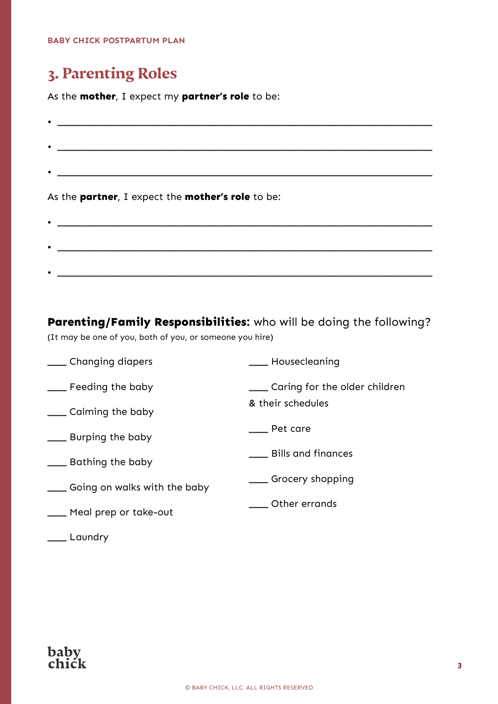## **3. Parenting Roles**

As the **mother**, I expect my **partner's role** to be:

| $\bullet$ |                                                                                                                                                                                                                                      |
|-----------|--------------------------------------------------------------------------------------------------------------------------------------------------------------------------------------------------------------------------------------|
|           |                                                                                                                                                                                                                                      |
| $\bullet$ |                                                                                                                                                                                                                                      |
|           |                                                                                                                                                                                                                                      |
|           |                                                                                                                                                                                                                                      |
|           | As the partner, I expect the mother's role to be:                                                                                                                                                                                    |
|           | <u> 1989 - Johann Harry Harry Harry Harry Harry Harry Harry Harry Harry Harry Harry Harry Harry Harry Harry Harry Harry Harry Harry Harry Harry Harry Harry Harry Harry Harry Harry Harry Harry Harry Harry Harry Harry Harry Ha</u> |

**Parenting/Family Responsibilities:** who will be doing the following? (It may be one of you, both of you, or someone you hire)

\_\_\_\_ Changing diapers

\_\_\_\_ Housecleaning

& their schedules

\_\_\_\_ Grocery shopping

\_\_\_\_ Pet care

- \_\_\_\_ Feeding the baby \_\_\_\_ Caring for the older children
- \_\_\_\_ Calming the baby
- \_\_\_\_ Burping the baby
- \_\_\_\_ Bathing the baby \_\_\_\_ Bills and finances
- \_\_\_\_ Going on walks with the baby
- \_\_\_\_ Meal prep or take-out \_\_\_\_ Other errands
- \_\_\_\_ Laundry

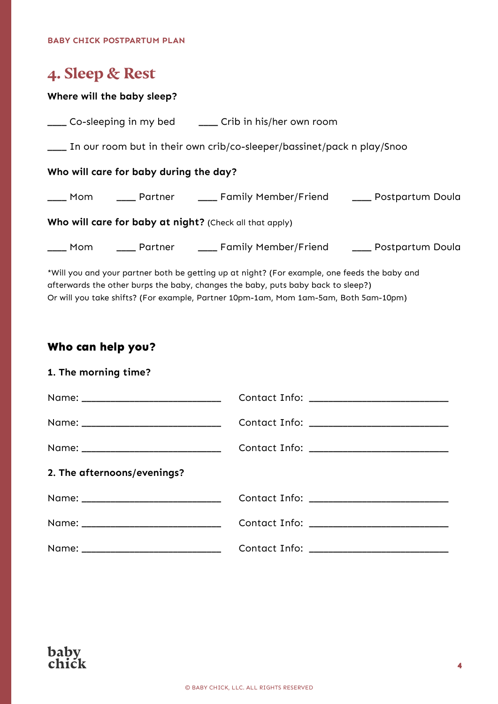## **4. Sleep & Rest**

### **Where will the baby sleep?**

|                                                                                              | ____ Co-sleeping in my bed ______ Crib in his/her own room               |  |  |  |
|----------------------------------------------------------------------------------------------|--------------------------------------------------------------------------|--|--|--|
| In our room but in their own crib/co-sleeper/bassinet/pack n play/Snoo                       |                                                                          |  |  |  |
| Who will care for baby during the day?                                                       |                                                                          |  |  |  |
|                                                                                              | ____ Mom _____ Partner _____ Family Member/Friend _____ Postpartum Doula |  |  |  |
| Who will care for baby at night? (Check all that apply)                                      |                                                                          |  |  |  |
|                                                                                              | ___ Mom ____ Partner ____ Family Member/Friend ____ Postpartum Doula     |  |  |  |
| *Will you and your partner both be getting up at night? (For example, one feeds the baby and |                                                                          |  |  |  |

\*Will you and your partner both be getting up at night? (For example, one feeds the baby and afterwards the other burps the baby, changes the baby, puts baby back to sleep?) Or will you take shifts? (For example, Partner 10pm-1am, Mom 1am-5am, Both 5am-10pm)

### **Who can help you?**

### **1. The morning time?**

| 2. The afternoons/evenings? |  |
|-----------------------------|--|
|                             |  |
|                             |  |
|                             |  |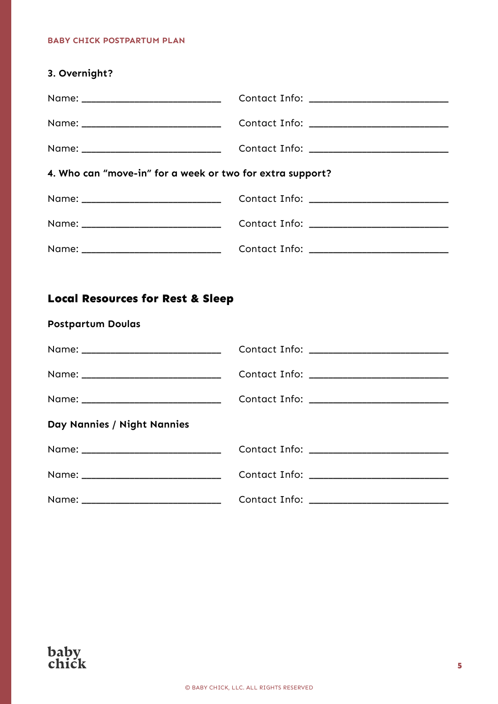| 3. Overnight?                                                           |  |  |  |
|-------------------------------------------------------------------------|--|--|--|
|                                                                         |  |  |  |
|                                                                         |  |  |  |
|                                                                         |  |  |  |
| 4. Who can "move-in" for a week or two for extra support?               |  |  |  |
|                                                                         |  |  |  |
|                                                                         |  |  |  |
|                                                                         |  |  |  |
|                                                                         |  |  |  |
| <b>Local Resources for Rest &amp; Sleep</b><br><b>Postpartum Doulas</b> |  |  |  |
|                                                                         |  |  |  |
|                                                                         |  |  |  |
|                                                                         |  |  |  |
| Day Nannies / Night Nannies                                             |  |  |  |
|                                                                         |  |  |  |
|                                                                         |  |  |  |

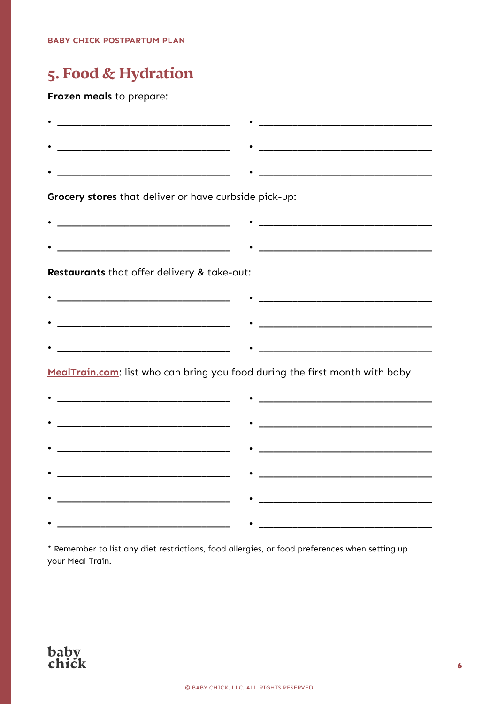## 5. Food & Hydration

### Frozen meals to prepare:

| Grocery stores that deliver or have curbside pick-up:                       |  |
|-----------------------------------------------------------------------------|--|
|                                                                             |  |
|                                                                             |  |
| Restaurants that offer delivery & take-out:                                 |  |
|                                                                             |  |
|                                                                             |  |
|                                                                             |  |
| MealTrain.com: list who can bring you food during the first month with baby |  |
|                                                                             |  |
|                                                                             |  |
|                                                                             |  |
|                                                                             |  |
|                                                                             |  |
|                                                                             |  |
|                                                                             |  |

\* Remember to list any diet restrictions, food allergies, or food preferences when setting up your Meal Train.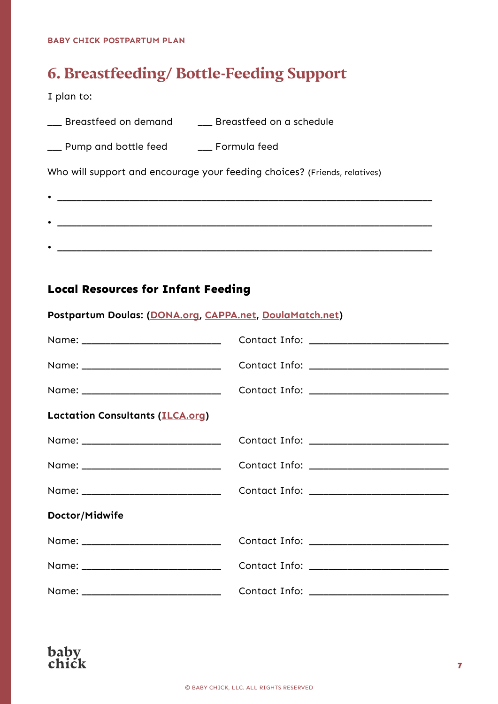## **6. Breastfeeding/ Bottle-Feeding Support**

I plan to:

| Breastfeed on a schedule<br>__ Breastfeed on demand |
|-----------------------------------------------------|
|-----------------------------------------------------|

 $\bullet$   $\overbrace{\hspace{25mm}}$   $\overbrace{\hspace{25mm}}$   $\overbrace{\hspace{25mm}}$   $\overbrace{\hspace{25mm}}$ 

|  | __ Pump and bottle feed |  | Formula feed |  |
|--|-------------------------|--|--------------|--|
|  |                         |  |              |  |

Who will support and encourage your feeding choices? (Friends, relatives)

| ____ |
|------|
|      |
|      |

## **Local Resources for Infant Feeding**

| Postpartum Doulas: (DONA.org, CAPPA.net, DoulaMatch.net) |  |  |  |
|----------------------------------------------------------|--|--|--|
|----------------------------------------------------------|--|--|--|

| <b>Lactation Consultants (ILCA.org)</b> |  |
|-----------------------------------------|--|
|                                         |  |
|                                         |  |
|                                         |  |
| Doctor/Midwife                          |  |
|                                         |  |
|                                         |  |
|                                         |  |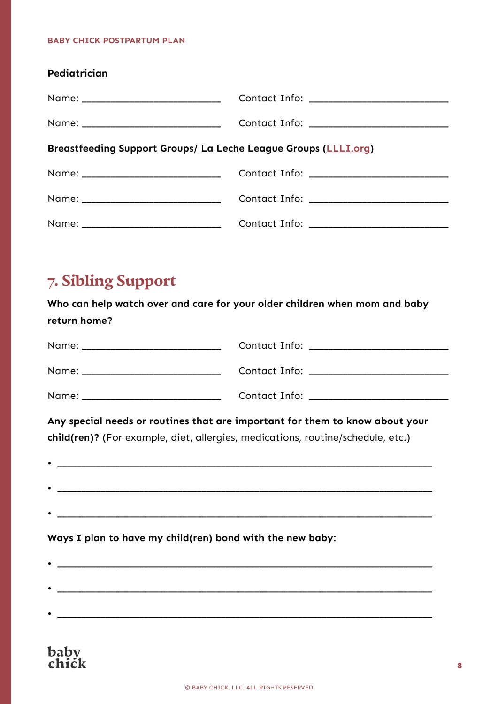| Pediatrician                                                    |  |  |  |  |
|-----------------------------------------------------------------|--|--|--|--|
|                                                                 |  |  |  |  |
|                                                                 |  |  |  |  |
| Breastfeeding Support Groups/ La Leche League Groups (LLLI.org) |  |  |  |  |
|                                                                 |  |  |  |  |
|                                                                 |  |  |  |  |
|                                                                 |  |  |  |  |

## **7. Sibling Support**

**Who can help watch over and care for your older children when mom and baby return home?**

| Contact Info: _____________________________                                                                                                                     |
|-----------------------------------------------------------------------------------------------------------------------------------------------------------------|
|                                                                                                                                                                 |
|                                                                                                                                                                 |
| Any special needs or routines that are important for them to know about your<br>child(ren)? (For example, diet, allergies, medications, routine/schedule, etc.) |
|                                                                                                                                                                 |
|                                                                                                                                                                 |
|                                                                                                                                                                 |
| Ways I plan to have my child(ren) bond with the new baby:                                                                                                       |
|                                                                                                                                                                 |
|                                                                                                                                                                 |
|                                                                                                                                                                 |
|                                                                                                                                                                 |

## baby<br>chick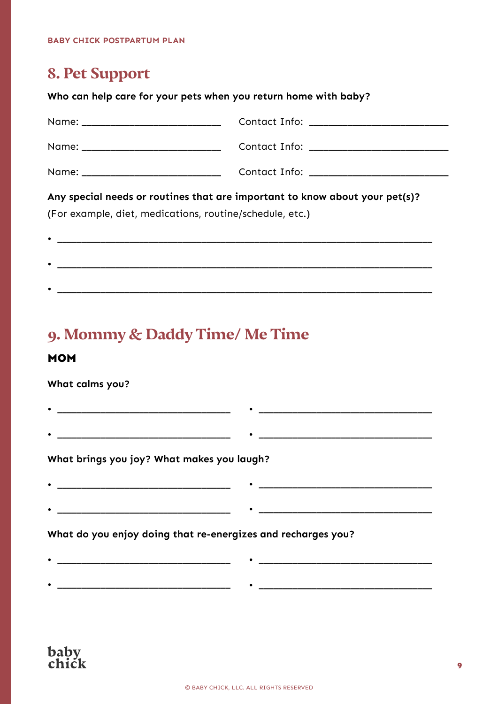## **8. Pet Support**

### **Who can help care for your pets when you return home with baby?**

| Any special needs or routines that are important to know about your pet(s)?<br>(For example, diet, medications, routine/schedule, etc.) |  |  |  |
|-----------------------------------------------------------------------------------------------------------------------------------------|--|--|--|
|                                                                                                                                         |  |  |  |
|                                                                                                                                         |  |  |  |
|                                                                                                                                         |  |  |  |

## **9. Mommy & Daddy Time/ Me Time**

### **MOM**

### **What calms you?**

**What brings you joy? What makes you laugh?**

 $\bullet$  . The contract of the contract of the contract of the contract of the contract of the contract of the contract of the contract of the contract of the contract of the contract of the contract of the contract of the co

| ____ |        |
|------|--------|
|      |        |
|      |        |
| ___  | ______ |

• \_\_\_\_\_\_\_\_\_\_\_\_\_\_\_\_\_\_\_\_\_\_\_\_\_\_\_\_\_\_\_\_\_\_\_\_ • \_\_\_\_\_\_\_\_\_\_\_\_\_\_\_\_\_\_\_\_\_\_\_\_\_\_\_\_\_\_\_\_\_\_\_\_

• \_\_\_\_\_\_\_\_\_\_\_\_\_\_\_\_\_\_\_\_\_\_\_\_\_\_\_\_\_\_\_\_\_\_\_\_ • \_\_\_\_\_\_\_\_\_\_\_\_\_\_\_\_\_\_\_\_\_\_\_\_\_\_\_\_\_\_\_\_\_\_\_\_

• \_\_\_\_\_\_\_\_\_\_\_\_\_\_\_\_\_\_\_\_\_\_\_\_\_\_\_\_\_\_\_\_\_\_\_\_ • \_\_\_\_\_\_\_\_\_\_\_\_\_\_\_\_\_\_\_\_\_\_\_\_\_\_\_\_\_\_\_\_\_\_\_\_

 $\bullet$   $\overline{\phantom{a}}$   $\overline{\phantom{a}}$   $\overline{\phantom{a}}$   $\overline{\phantom{a}}$   $\overline{\phantom{a}}$   $\overline{\phantom{a}}$   $\overline{\phantom{a}}$   $\overline{\phantom{a}}$   $\overline{\phantom{a}}$   $\overline{\phantom{a}}$   $\overline{\phantom{a}}$   $\overline{\phantom{a}}$   $\overline{\phantom{a}}$   $\overline{\phantom{a}}$   $\overline{\phantom{a}}$   $\overline{\phantom{a}}$   $\overline{\phantom{a}}$   $\overline{\phantom{a}}$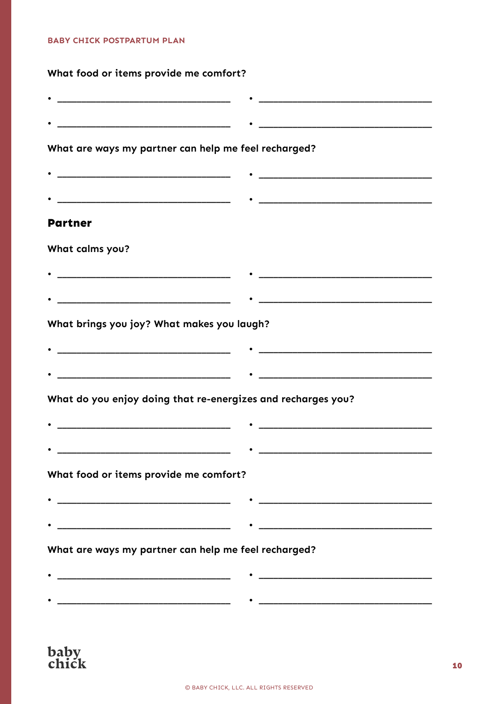## What food or items provide me comfort?

| <u> 1989 - Johann Barbara, martxa alemaniar arg</u>                                                                   |                                                                                                                       |
|-----------------------------------------------------------------------------------------------------------------------|-----------------------------------------------------------------------------------------------------------------------|
| <u> 1989 - Johann Harry Harry Harry Harry Harry Harry Harry Harry Harry Harry Harry Harry Harry Harry Harry Harry</u> |                                                                                                                       |
| What are ways my partner can help me feel recharged?                                                                  |                                                                                                                       |
|                                                                                                                       |                                                                                                                       |
|                                                                                                                       |                                                                                                                       |
| <b>Partner</b>                                                                                                        |                                                                                                                       |
| What calms you?                                                                                                       |                                                                                                                       |
|                                                                                                                       |                                                                                                                       |
|                                                                                                                       |                                                                                                                       |
| What brings you joy? What makes you laugh?                                                                            |                                                                                                                       |
|                                                                                                                       |                                                                                                                       |
|                                                                                                                       |                                                                                                                       |
| What do you enjoy doing that re-energizes and recharges you?                                                          |                                                                                                                       |
|                                                                                                                       |                                                                                                                       |
| <u> 1989 - Johann Barn, mars ann an t-Amhain an t-Amhain an t-Amhain an t-Amhain an t-Amhain an t-Amhain an t-Amh</u> | <u> 1989 - Johann Barn, amerikan besteman besteman besteman besteman besteman besteman besteman besteman besteman</u> |
| What food or items provide me comfort?                                                                                |                                                                                                                       |
|                                                                                                                       | <u> 1989 - Johann Barbara, margaret eta idazlea (h. 1989).</u>                                                        |
|                                                                                                                       |                                                                                                                       |
| What are ways my partner can help me feel recharged?                                                                  |                                                                                                                       |
|                                                                                                                       |                                                                                                                       |
|                                                                                                                       |                                                                                                                       |
|                                                                                                                       |                                                                                                                       |

baby<br>chick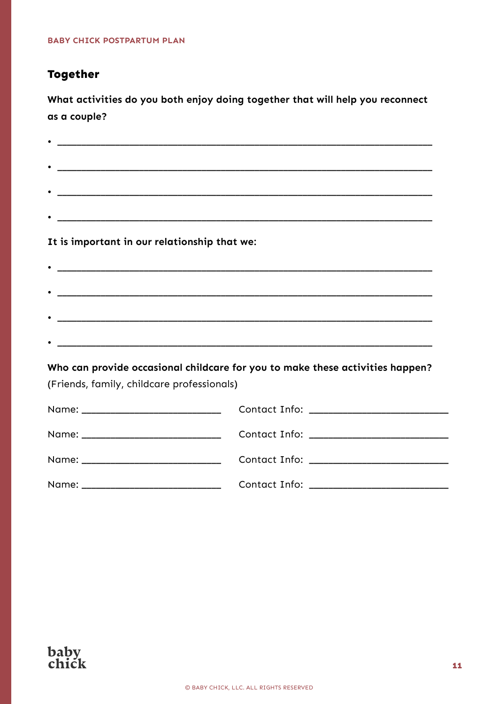### **Together**

What activities do you both enjoy doing together that will help you reconnect as a couple?

| It is important in our relationship that we: |                                                                               |
|----------------------------------------------|-------------------------------------------------------------------------------|
|                                              |                                                                               |
|                                              |                                                                               |
|                                              |                                                                               |
|                                              |                                                                               |
|                                              |                                                                               |
|                                              | Who can provide occasional childcare for you to make these activities happen? |
| (Friends, family, childcare professionals)   |                                                                               |
|                                              |                                                                               |
|                                              |                                                                               |
|                                              |                                                                               |
|                                              |                                                                               |

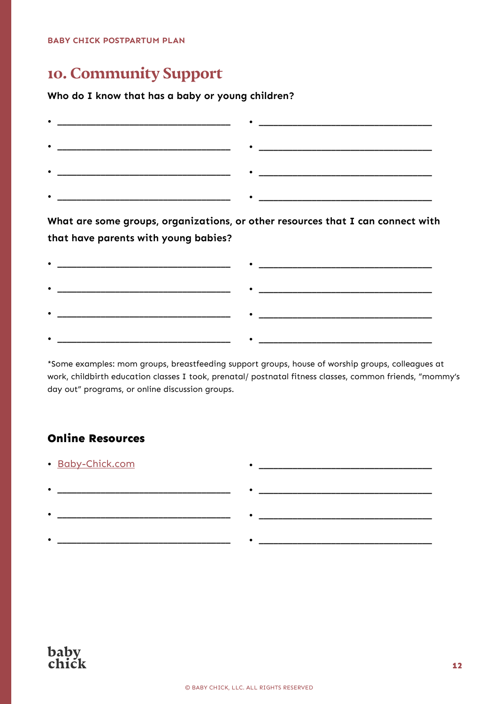## **10. Community Support**

### **Who do I know that has a baby or young children?**

| ____ |  |
|------|--|
|      |  |
| ____ |  |
|      |  |

**What are some groups, organizations, or other resources that I can connect with that have parents with young babies?**

| -  |  |
|----|--|
| __ |  |
|    |  |

\*Some examples: mom groups, breastfeeding support groups, house of worship groups, colleagues at work, childbirth education classes I took, prenatal/ postnatal fitness classes, common friends, "mommy's day out" programs, or online discussion groups.

• \_\_\_\_\_\_\_\_\_\_\_\_\_\_\_\_\_\_\_\_\_\_\_\_\_\_\_\_\_\_\_\_\_\_\_\_

• \_\_\_\_\_\_\_\_\_\_\_\_\_\_\_\_\_\_\_\_\_\_\_\_\_\_\_\_\_\_\_\_\_\_\_\_

### **Online Resources**

• [Baby-Chick.com](http://baby-chick.com/)

| ______________________ | ______________ |
|------------------------|----------------|
|                        |                |
|                        |                |
|                        |                |

• \_\_\_\_\_\_\_\_\_\_\_\_\_\_\_\_\_\_\_\_\_\_\_\_\_\_\_\_\_\_\_\_\_\_\_\_

• \_\_\_\_\_\_\_\_\_\_\_\_\_\_\_\_\_\_\_\_\_\_\_\_\_\_\_\_\_\_\_\_\_\_\_\_ • \_\_\_\_\_\_\_\_\_\_\_\_\_\_\_\_\_\_\_\_\_\_\_\_\_\_\_\_\_\_\_\_\_\_\_\_

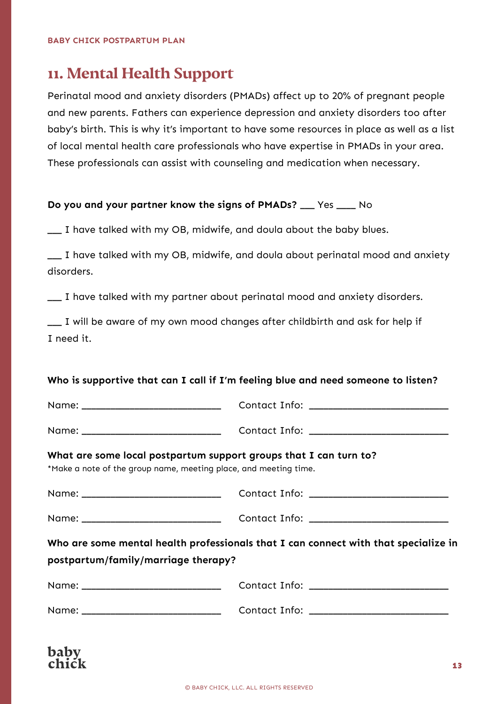hahy chick

## **11. Mental Health Support**

Perinatal mood and anxiety disorders (PMADs) affect up to 20% of pregnant people and new parents. Fathers can experience depression and anxiety disorders too after baby's birth. This is why it's important to have some resources in place as well as a list of local mental health care professionals who have expertise in PMADs in your area. These professionals can assist with counseling and medication when necessary.

### **Do you and your partner know the signs of PMADs?** \_\_\_ Yes \_\_\_\_ No

\_\_\_ I have talked with my OB, midwife, and doula about the baby blues.

\_\_\_ I have talked with my OB, midwife, and doula about perinatal mood and anxiety disorders.

\_\_\_ I have talked with my partner about perinatal mood and anxiety disorders.

\_\_\_ I will be aware of my own mood changes after childbirth and ask for help if I need it.

### **Who is supportive that can I call if I'm feeling blue and need someone to listen?**

|                                                                                                                                       | Contact Info: ____________________________                                          |
|---------------------------------------------------------------------------------------------------------------------------------------|-------------------------------------------------------------------------------------|
|                                                                                                                                       | Contact Info: _____________________________                                         |
| What are some local postpartum support groups that I can turn to?<br>*Make a note of the group name, meeting place, and meeting time. |                                                                                     |
|                                                                                                                                       |                                                                                     |
|                                                                                                                                       | Contact Info: ______________________________                                        |
| postpartum/family/marriage therapy?                                                                                                   | Who are some mental health professionals that I can connect with that specialize in |
|                                                                                                                                       | Contact Info: ____________________________                                          |